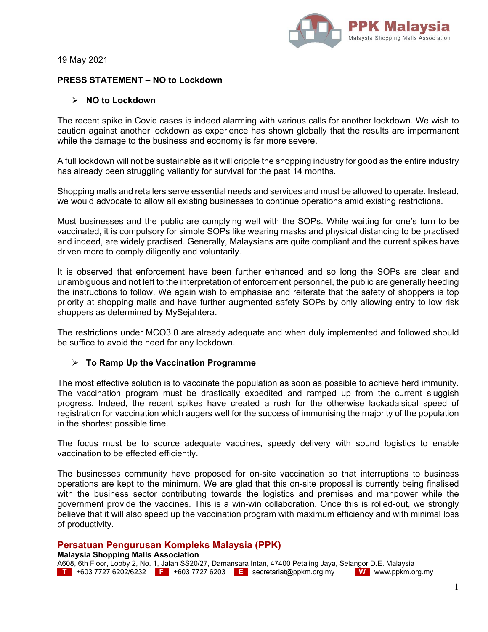

19 May 2021

## **PRESS STATEMENT – NO to Lockdown**

## **NO to Lockdown**

The recent spike in Covid cases is indeed alarming with various calls for another lockdown. We wish to caution against another lockdown as experience has shown globally that the results are impermanent while the damage to the business and economy is far more severe.

A full lockdown will not be sustainable as it will cripple the shopping industry for good as the entire industry has already been struggling valiantly for survival for the past 14 months.

Shopping malls and retailers serve essential needs and services and must be allowed to operate. Instead, we would advocate to allow all existing businesses to continue operations amid existing restrictions.

Most businesses and the public are complying well with the SOPs. While waiting for one's turn to be vaccinated, it is compulsory for simple SOPs like wearing masks and physical distancing to be practised and indeed, are widely practised. Generally, Malaysians are quite compliant and the current spikes have driven more to comply diligently and voluntarily.

It is observed that enforcement have been further enhanced and so long the SOPs are clear and unambiguous and not left to the interpretation of enforcement personnel, the public are generally heeding the instructions to follow. We again wish to emphasise and reiterate that the safety of shoppers is top priority at shopping malls and have further augmented safety SOPs by only allowing entry to low risk shoppers as determined by MySejahtera.

The restrictions under MCO3.0 are already adequate and when duly implemented and followed should be suffice to avoid the need for any lockdown.

## **To Ramp Up the Vaccination Programme**

The most effective solution is to vaccinate the population as soon as possible to achieve herd immunity. The vaccination program must be drastically expedited and ramped up from the current sluggish progress. Indeed, the recent spikes have created a rush for the otherwise lackadaisical speed of registration for vaccination which augers well for the success of immunising the majority of the population in the shortest possible time.

The focus must be to source adequate vaccines, speedy delivery with sound logistics to enable vaccination to be effected efficiently.

The businesses community have proposed for on-site vaccination so that interruptions to business operations are kept to the minimum. We are glad that this on-site proposal is currently being finalised with the business sector contributing towards the logistics and premises and manpower while the government provide the vaccines. This is a win-win collaboration. Once this is rolled-out, we strongly believe that it will also speed up the vaccination program with maximum efficiency and with minimal loss of productivity.

## **Persatuan Pengurusan Kompleks Malaysia (PPK)**

**Malaysia Shopping Malls Association** 

A608, 6th Floor, Lobby 2, No. 1, Jalan SS20/27, Damansara Intan, 47400 Petaling Jaya, Selangor D.E. Malaysia **T** +603 7727 6202/6232 **F** +603 7727 6203 **E** secretariat@ppkm.org.my **W** www.ppkm.org.my